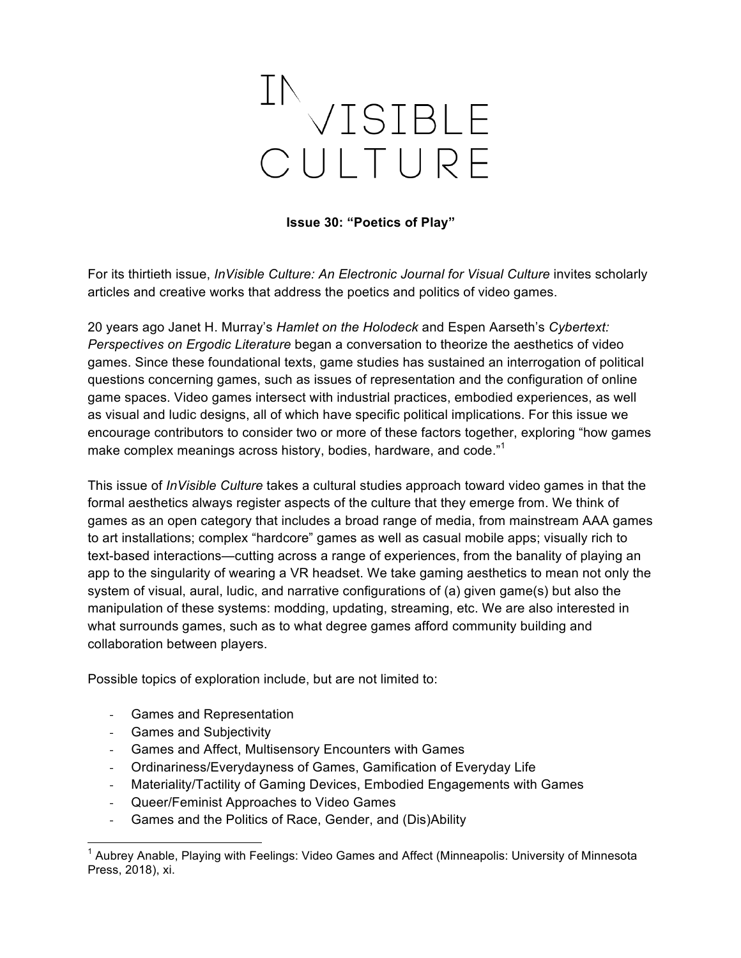## INVISIBLE CUITURF

**Issue 30: "Poetics of Play"**

For its thirtieth issue, *InVisible Culture: An Electronic Journal for Visual Culture* invites scholarly articles and creative works that address the poetics and politics of video games.

20 years ago Janet H. Murray's *Hamlet on the Holodeck* and Espen Aarseth's *Cybertext: Perspectives on Ergodic Literature* began a conversation to theorize the aesthetics of video games. Since these foundational texts, game studies has sustained an interrogation of political questions concerning games, such as issues of representation and the configuration of online game spaces. Video games intersect with industrial practices, embodied experiences, as well as visual and ludic designs, all of which have specific political implications. For this issue we encourage contributors to consider two or more of these factors together, exploring "how games make complex meanings across history, bodies, hardware, and code."<sup>1</sup>

This issue of *InVisible Culture* takes a cultural studies approach toward video games in that the formal aesthetics always register aspects of the culture that they emerge from. We think of games as an open category that includes a broad range of media, from mainstream AAA games to art installations; complex "hardcore" games as well as casual mobile apps; visually rich to text-based interactions—cutting across a range of experiences, from the banality of playing an app to the singularity of wearing a VR headset. We take gaming aesthetics to mean not only the system of visual, aural, ludic, and narrative configurations of (a) given game(s) but also the manipulation of these systems: modding, updating, streaming, etc. We are also interested in what surrounds games, such as to what degree games afford community building and collaboration between players.

Possible topics of exploration include, but are not limited to:

- Games and Representation
- Games and Subjectivity
- Games and Affect, Multisensory Encounters with Games
- Ordinariness/Everydayness of Games, Gamification of Everyday Life
- Materiality/Tactility of Gaming Devices, Embodied Engagements with Games
- Queer/Feminist Approaches to Video Games
- Games and the Politics of Race, Gender, and (Dis)Ability

 <sup>1</sup> Aubrey Anable, Playing with Feelings: Video Games and Affect (Minneapolis: University of Minnesota Press, 2018), xi.